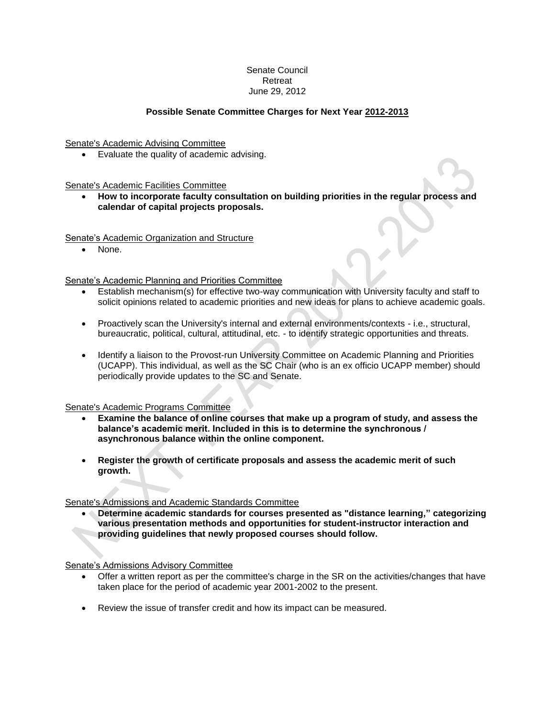# Senate Council Retreat June 29, 2012

## **Possible Senate Committee Charges for Next Year 2012-2013**

Senate's Academic Advising Committee

Evaluate the quality of academic advising.

Senate's Academic Facilities Committee

 **How to incorporate faculty consultation on building priorities in the regular process and calendar of capital projects proposals.**

Senate's Academic Organization and Structure

None.

Senate's Academic Planning and Priorities Committee

- Establish mechanism(s) for effective two-way communication with University faculty and staff to solicit opinions related to academic priorities and new ideas for plans to achieve academic goals.
- Proactively scan the University's internal and external environments/contexts i.e., structural, bureaucratic, political, cultural, attitudinal, etc. - to identify strategic opportunities and threats.
- Identify a liaison to the Provost-run University Committee on Academic Planning and Priorities (UCAPP). This individual, as well as the SC Chair (who is an ex officio UCAPP member) should periodically provide updates to the SC and Senate.

Senate's Academic Programs Committee

- **Examine the balance of online courses that make up a program of study, and assess the balance's academic merit. Included in this is to determine the synchronous / asynchronous balance within the online component.**
- **Register the growth of certificate proposals and assess the academic merit of such growth.**

Senate's Admissions and Academic Standards Committee

 **Determine academic standards for courses presented as "distance learning," categorizing various presentation methods and opportunities for student-instructor interaction and providing guidelines that newly proposed courses should follow.**

Senate's Admissions Advisory Committee

- Offer a written report as per the committee's charge in the SR on the activities/changes that have taken place for the period of academic year 2001-2002 to the present.
- Review the issue of transfer credit and how its impact can be measured.